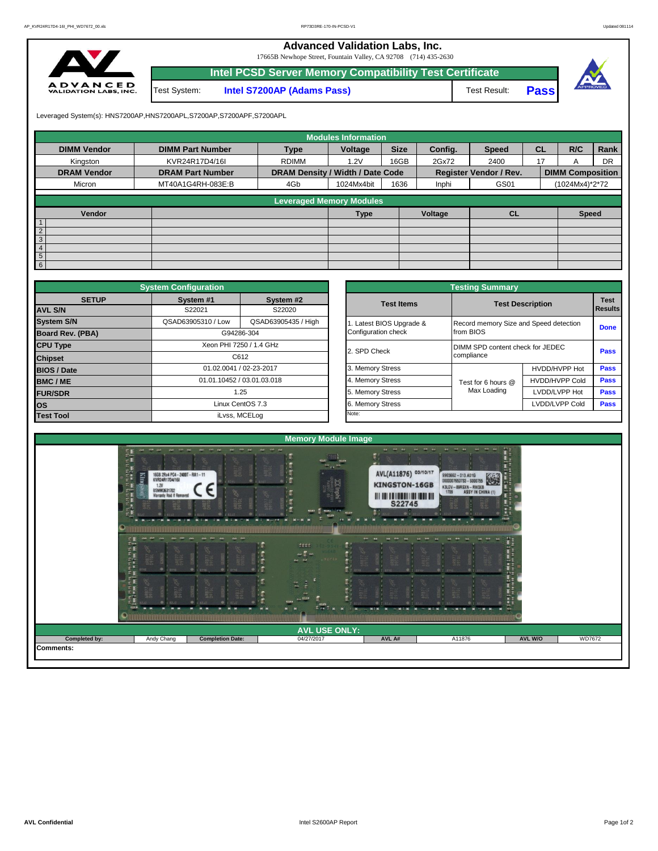## **Advanced Validation Labs, Inc.**

17665B Newhope Street, Fountain Valley, CA 92708 (714) 435-2630



|              | Intel PCSD Server Memory Compatibility Test Certificate |              |             |  |
|--------------|---------------------------------------------------------|--------------|-------------|--|
| Test System: | <b>Intel S7200AP (Adams Pass)</b>                       | Test Result: | <b>Pass</b> |  |

Leveraged System(s): HNS7200AP,HNS7200APL,S7200AP,S7200APF,S7200APL

|                    |                         |                                  | <b>Modules Information</b> |             |         |                               |           |                         |           |
|--------------------|-------------------------|----------------------------------|----------------------------|-------------|---------|-------------------------------|-----------|-------------------------|-----------|
| <b>DIMM Vendor</b> | <b>DIMM Part Number</b> | <b>Type</b>                      | Voltage                    | <b>Size</b> | Config. | <b>Speed</b>                  | <b>CL</b> | R/C                     | Rank      |
| Kingston           | KVR24R17D4/16I          | <b>RDIMM</b>                     | 1.2V                       | 16GB        | 2Gx72   | 2400                          | 17        | A                       | <b>DR</b> |
| <b>DRAM Vendor</b> | <b>DRAM Part Number</b> | DRAM Density / Width / Date Code |                            |             |         | <b>Register Vendor / Rev.</b> |           | <b>DIMM Composition</b> |           |
| Micron             | MT40A1G4RH-083E:B       | 4Gb                              | 1024Mx4bit                 | 1636        | Inphi   | GS01                          |           | (1024Mx4)*2*72          |           |
|                    |                         |                                  |                            |             |         |                               |           |                         |           |
|                    |                         | <b>Leveraged Memory Modules</b>  |                            |             |         |                               |           |                         |           |
| Vendor             |                         |                                  | <b>Type</b>                |             | Voltage | CL                            |           | <b>Speed</b>            |           |
| $\overline{1}$     |                         |                                  |                            |             |         |                               |           |                         |           |
| $\overline{2}$     |                         |                                  |                            |             |         |                               |           |                         |           |
| $\overline{3}$     |                         |                                  |                            |             |         |                               |           |                         |           |
| $\overline{4}$     |                         |                                  |                            |             |         |                               |           |                         |           |
| $5\overline{)}$    |                         |                                  |                            |             |         |                               |           |                         |           |
| 6                  |                         |                                  |                            |             |         |                               |           |                         |           |

|                         | <b>System Configuration</b> |                            |                       | <b>Testing Summary</b>                 |                         |             |
|-------------------------|-----------------------------|----------------------------|-----------------------|----------------------------------------|-------------------------|-------------|
| <b>SETUP</b>            | System #1                   | System #2                  | <b>Test Items</b>     |                                        | <b>Test Description</b> | <b>Test</b> |
| <b>AVL S/N</b>          | S22021                      | S22020                     |                       |                                        |                         | Results     |
| <b>System S/N</b>       | QSAD63905310 / Low          | QSAD63905435 / High        | Latest BIOS Upgrade & | Record memory Size and Speed detection |                         | <b>Done</b> |
| <b>Board Rev. (PBA)</b> |                             | G94286-304                 | Configuration check   | from BIOS                              |                         |             |
| <b>CPU Type</b>         |                             | Xeon PHI 7250 / 1.4 GHz    | 2. SPD Check          | DIMM SPD content check for JEDEC       |                         | Pass        |
| <b>Chipset</b>          |                             | C612                       |                       | compliance                             |                         |             |
| <b>BIOS / Date</b>      |                             | 01.02.0041 / 02-23-2017    | 3. Memory Stress      |                                        | HVDD/HVPP Hot           | <b>Pass</b> |
| <b>BMC/ME</b>           |                             | 01.01.10452 / 03.01.03.018 | 4. Memory Stress      | Test for 6 hours @                     | <b>HVDD/HVPP Cold</b>   | <b>Pass</b> |
| <b>FUR/SDR</b>          |                             | 1.25                       | 5. Memory Stress      | Max Loading                            | LVDD/LVPP Hot           | Pass        |
| <b>los</b>              |                             | Linux CentOS 7.3           | 6. Memory Stress      |                                        | LVDD/LVPP Cold          | Pass        |
| <b>Test Tool</b>        |                             | iLvss, MCELog              | Note:                 |                                        |                         |             |

|              | <b>System Configuration</b> |                            |                       | <b>Testing Summary</b>           |                                                     |                |  |  |  |
|--------------|-----------------------------|----------------------------|-----------------------|----------------------------------|-----------------------------------------------------|----------------|--|--|--|
| <b>SETUP</b> | System #1                   | System #2                  | <b>Test Items</b>     | <b>Test Description</b>          |                                                     |                |  |  |  |
|              | S22021                      | S22020                     |                       |                                  |                                                     | <b>Results</b> |  |  |  |
|              | QSAD63905310 / Low          | QSAD63905435 / High        | Latest BIOS Upgrade & |                                  | Record memory Size and Speed detection<br>from BIOS |                |  |  |  |
| PBA)         |                             | G94286-304                 | Configuration check   |                                  |                                                     |                |  |  |  |
|              |                             | Xeon PHI 7250 / 1.4 GHz    | 2. SPD Check          | DIMM SPD content check for JEDEC |                                                     | Pass           |  |  |  |
|              |                             | C612                       |                       | compliance                       |                                                     |                |  |  |  |
|              | 01.02.0041 / 02-23-2017     |                            | 3. Memory Stress      |                                  | HVDD/HVPP Hot<br>HVDD/HVPP Cold                     |                |  |  |  |
|              |                             | 01.01.10452 / 03.01.03.018 |                       | Test for 6 hours @               |                                                     |                |  |  |  |
|              |                             | 1.25                       | 5. Memory Stress      | Max Loading                      | LVDD/LVPP Hot                                       | Pass           |  |  |  |
|              |                             | Linux CentOS 7.3           | 6. Memory Stress      |                                  | LVDD/LVPP Cold                                      | Pass           |  |  |  |
|              |                             | iLvss, MCELog              | Note:                 |                                  |                                                     |                |  |  |  |

|                                      |                                                                                                                      |                                                        | <b>Memory Module Image</b>                                                                                                                                                                                                                                                                   |                                                                                       |                                                                                                                |                           |  |
|--------------------------------------|----------------------------------------------------------------------------------------------------------------------|--------------------------------------------------------|----------------------------------------------------------------------------------------------------------------------------------------------------------------------------------------------------------------------------------------------------------------------------------------------|---------------------------------------------------------------------------------------|----------------------------------------------------------------------------------------------------------------|---------------------------|--|
| 11月11日 1111日<br>릙                    | 16GB 2Rx4 PC4-2400T-RA1-11<br>King<br>KVR24R17D4/16I<br>1.2V<br><b>BSMM3631702</b><br><b>Warranty Void # Remover</b> | <b>SRB</b><br><b>ES</b>                                | cut eur<br>phair.<br>E<br><b>The Contract of the Contract of the Contract of the Contract of the Contract of the Contract of the Contract of the Contract of the Contract of The Contract of The Contract of The Contract of The Contract of The Contract </b><br><b>EXIMPI</b><br>Preparate | me:<br>ņ,<br>22.7<br>AVL(A11876) 03/10/17<br><b>KINGSTON-16GB</b><br>S22745<br>0.7117 | 9965662-013.A01G<br>磯<br>0000007653733 - \$000755<br>K3LDV-89RSXN-RW3XB<br>1709 ASSY IN CHINA (1)<br>● ± 37.17 |                           |  |
| ■■<br><b>古代の出版社を</b><br>主義 (工会) 和歌 ( | 3790<br>87.37<br>œ<br>$\mathbf{X}$<br>۰                                                                              | STHE.<br>$\bullet$<br>$\overline{\phantom{a}}$<br>- 20 | dren<br>$ -$<br>day met<br>B<br>×<br>÷<br>$\mathbf{M}$<br><b>ALC: NO</b>                                                                                                                                                                                                                     | $0 + 111$<br>$x = 819$                                                                | 0.711                                                                                                          | W.<br>WENCH<br><b>COL</b> |  |
|                                      |                                                                                                                      |                                                        | <b>AVL USE ONLY:</b>                                                                                                                                                                                                                                                                         |                                                                                       |                                                                                                                |                           |  |
|                                      |                                                                                                                      |                                                        |                                                                                                                                                                                                                                                                                              |                                                                                       |                                                                                                                |                           |  |